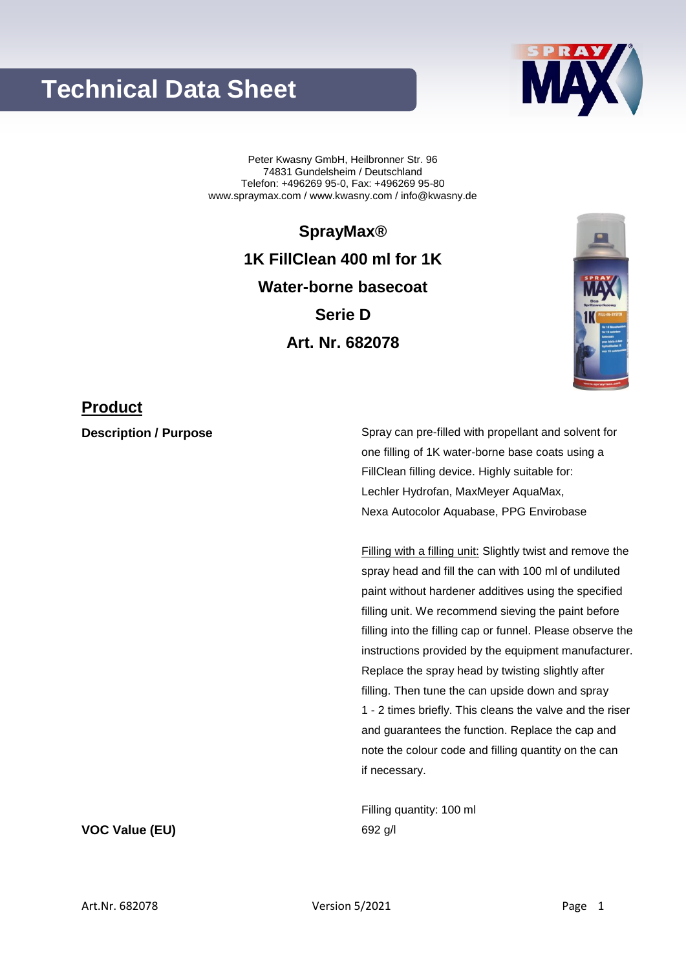## **Technical Data Sheet**



Peter Kwasny GmbH, Heilbronner Str. 96 74831 Gundelsheim / Deutschland Telefon: +496269 95-0, Fax: +496269 95-80 www.spraymax.com / www.kwasny.com / info@kwasny.de

> **SprayMax® 1K FillClean 400 ml for 1K Water-borne basecoat Serie D Art. Nr. 682078**



### **Product**

**Description / Purpose** Spray can pre-filled with propellant and solvent for one filling of 1K water-borne base coats using a FillClean filling device. Highly suitable for: Lechler Hydrofan, MaxMeyer AquaMax, Nexa Autocolor Aquabase, PPG Envirobase

> Filling with a filling unit: Slightly twist and remove the spray head and fill the can with 100 ml of undiluted paint without hardener additives using the specified filling unit. We recommend sieving the paint before filling into the filling cap or funnel. Please observe the instructions provided by the equipment manufacturer. Replace the spray head by twisting slightly after filling. Then tune the can upside down and spray 1 - 2 times briefly. This cleans the valve and the riser and guarantees the function. Replace the cap and note the colour code and filling quantity on the can if necessary.

Filling quantity: 100 ml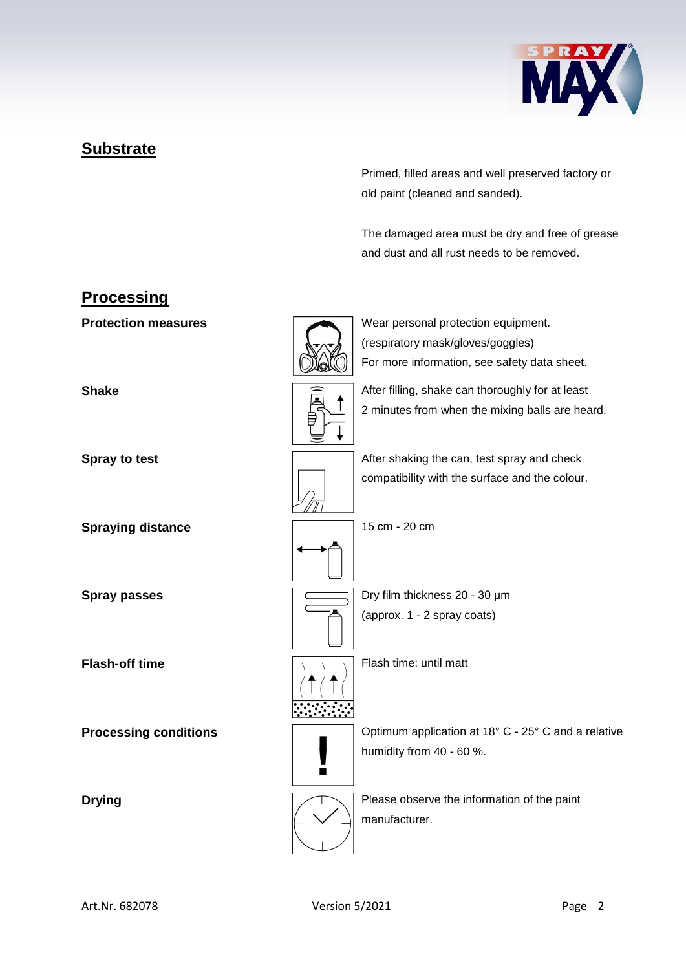

## **Substrate**

Primed, filled areas and well preserved factory or old paint (cleaned and sanded).

The damaged area must be dry and free of grease and dust and all rust needs to be removed.

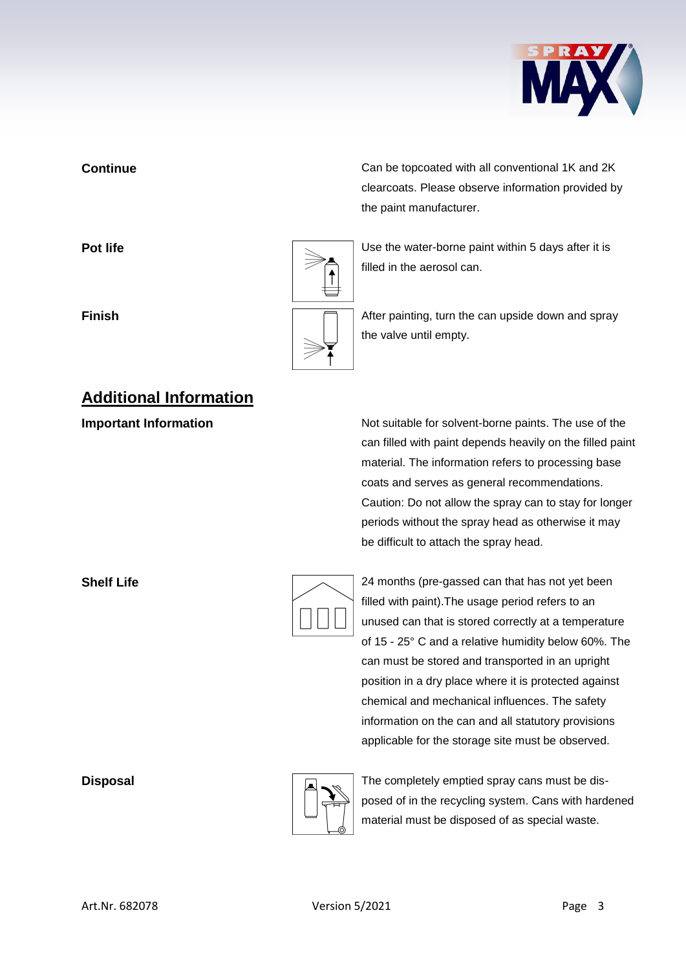

# **Additional Information**

**Continue** Can be topcoated with all conventional 1K and 2K clearcoats. Please observe information provided by the paint manufacturer.

**Pot life Pot life Pot life Pot life Pot life Department is a little value of**  $\sim$  **<b>Depending Life Depending 1** Use the water-borne paint within 5 days after it is filled in the aerosol can.

**Finish Finish Finish After painting, turn the can upside down and spray** the valve until empty.

**Important Information Information** Not suitable for solvent-borne paints. The use of the can filled with paint depends heavily on the filled paint material. The information refers to processing base coats and serves as general recommendations. Caution: Do not allow the spray can to stay for longer periods without the spray head as otherwise it may be difficult to attach the spray head.

| 24 m    |
|---------|
| filled  |
| unuse   |
| of $15$ |

**Shelf Life** 24 months (pre-gassed can that has not yet been with paint). The usage period refers to an ed can that is stored correctly at a temperature - 25° C and a relative humidity below 60%. The can must be stored and transported in an upright position in a dry place where it is protected against chemical and mechanical influences. The safety information on the can and all statutory provisions applicable for the storage site must be observed.



**Disposal** Disposal **The completely emptied spray cans must be dis**posed of in the recycling system. Cans with hardened material must be disposed of as special waste.